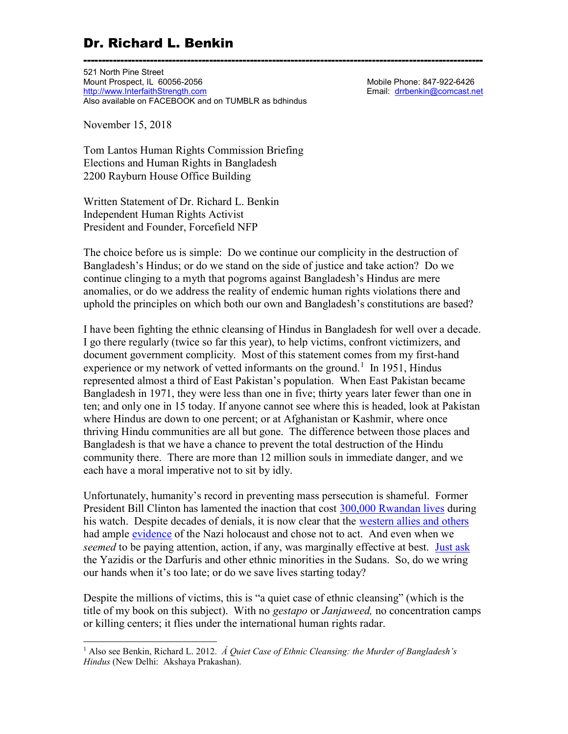521 North Pine Street Mount Prospect, IL 60056-2056 Mount Prospect, IL 60056-2056 Mobile Phone: 847-922-6426<br>http://www.InterfaithStrength.com Mobile Phone: 847-922-6426 http://www.InterfaithStrength.com Also available on FACEBOOK and on TUMBLR as bdhindus

November 15, 2018

l

Tom Lantos Human Rights Commission Briefing Elections and Human Rights in Bangladesh 2200 Rayburn House Office Building

Written Statement of Dr. Richard L. Benkin Independent Human Rights Activist President and Founder, Forcefield NFP

The choice before us is simple: Do we continue our complicity in the destruction of Bangladesh's Hindus; or do we stand on the side of justice and take action? Do we continue clinging to a myth that pogroms against Bangladesh's Hindus are mere anomalies, or do we address the reality of endemic human rights violations there and uphold the principles on which both our own and Bangladesh's constitutions are based?

------------------------------------------------------------------------------------------------------------

I have been fighting the ethnic cleansing of Hindus in Bangladesh for well over a decade. I go there regularly (twice so far this year), to help victims, confront victimizers, and document government complicity. Most of this statement comes from my first-hand experience or my network of vetted informants on the ground.<sup>1</sup> In 1951, Hindus represented almost a third of East Pakistan's population. When East Pakistan became Bangladesh in 1971, they were less than one in five; thirty years later fewer than one in ten; and only one in 15 today. If anyone cannot see where this is headed, look at Pakistan where Hindus are down to one percent; or at Afghanistan or Kashmir, where once thriving Hindu communities are all but gone. The difference between those places and Bangladesh is that we have a chance to prevent the total destruction of the Hindu community there. There are more than 12 million souls in immediate danger, and we each have a moral imperative not to sit by idly.

Unfortunately, humanity's record in preventing mass persecution is shameful. Former President Bill Clinton has lamented the inaction that cost 300,000 Rwandan lives during his watch. Despite decades of denials, it is now clear that the western allies and others had ample evidence of the Nazi holocaust and chose not to act. And even when we seemed to be paying attention, action, if any, was marginally effective at best. Just ask the Yazidis or the Darfuris and other ethnic minorities in the Sudans. So, do we wring our hands when it's too late; or do we save lives starting today?

Despite the millions of victims, this is "a quiet case of ethnic cleansing" (which is the title of my book on this subject). With no *gestapo* or *Janjaweed*, no concentration camps or killing centers; it flies under the international human rights radar.

<sup>&</sup>lt;sup>1</sup> Also see Benkin, Richard L. 2012. *A Quiet Case of Ethnic Cleansing: the Murder of Bangladesh's* Hindus (New Delhi: Akshaya Prakashan).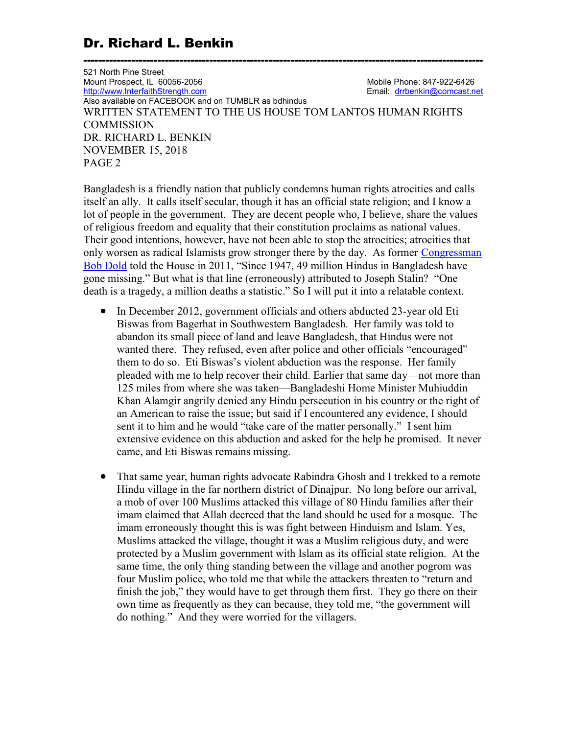521 North Pine Street Mount Prospect, IL 60056-2056<br>
http://www.InterfaithStrength.com<br>
Email: drrbenkin@comcast.net http://www.InterfaithStrength.com Also available on FACEBOOK and on TUMBLR as bdhindus WRITTEN STATEMENT TO THE US HOUSE TOM LANTOS HUMAN RIGHTS **COMMISSION** DR. RICHARD L. BENKIN NOVEMBER 15, 2018 PAGE 2

------------------------------------------------------------------------------------------------------------

Bangladesh is a friendly nation that publicly condemns human rights atrocities and calls itself an ally. It calls itself secular, though it has an official state religion; and I know a lot of people in the government. They are decent people who, I believe, share the values of religious freedom and equality that their constitution proclaims as national values. Their good intentions, however, have not been able to stop the atrocities; atrocities that only worsen as radical Islamists grow stronger there by the day. As former Congressman Bob Dold told the House in 2011, "Since 1947, 49 million Hindus in Bangladesh have gone missing." But what is that line (erroneously) attributed to Joseph Stalin? "One death is a tragedy, a million deaths a statistic." So I will put it into a relatable context.

- In December 2012, government officials and others abducted 23-year old Eti Biswas from Bagerhat in Southwestern Bangladesh. Her family was told to abandon its small piece of land and leave Bangladesh, that Hindus were not wanted there. They refused, even after police and other officials "encouraged" them to do so. Eti Biswas's violent abduction was the response. Her family pleaded with me to help recover their child. Earlier that same day—not more than 125 miles from where she was taken—Bangladeshi Home Minister Muhiuddin Khan Alamgir angrily denied any Hindu persecution in his country or the right of an American to raise the issue; but said if I encountered any evidence, I should sent it to him and he would "take care of the matter personally." I sent him extensive evidence on this abduction and asked for the help he promised. It never came, and Eti Biswas remains missing.
- That same year, human rights advocate Rabindra Ghosh and I trekked to a remote Hindu village in the far northern district of Dinajpur. No long before our arrival, a mob of over 100 Muslims attacked this village of 80 Hindu families after their imam claimed that Allah decreed that the land should be used for a mosque. The imam erroneously thought this is was fight between Hinduism and Islam. Yes, Muslims attacked the village, thought it was a Muslim religious duty, and were protected by a Muslim government with Islam as its official state religion. At the same time, the only thing standing between the village and another pogrom was four Muslim police, who told me that while the attackers threaten to "return and finish the job," they would have to get through them first. They go there on their own time as frequently as they can because, they told me, "the government will do nothing." And they were worried for the villagers.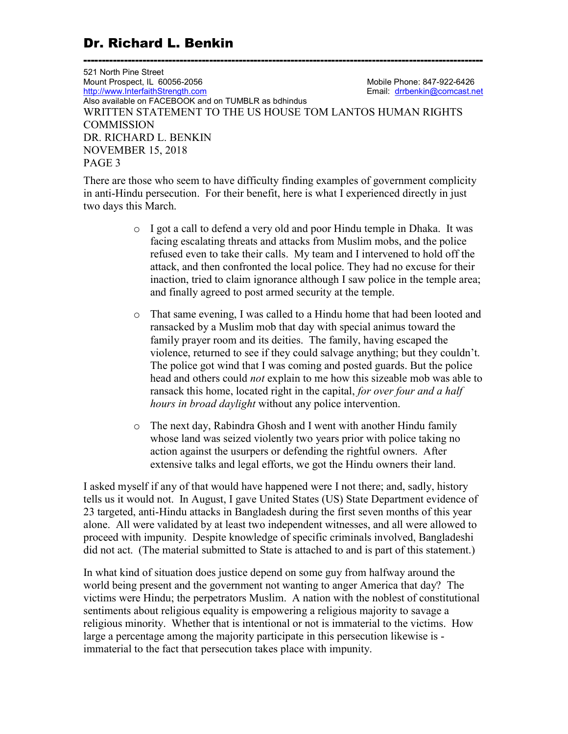521 North Pine Street Mount Prospect, IL 60056-2056 Mount Prospect, IL 60056-2056 Mobile Phone: 847-922-6426<br>http://www.InterfaithStrength.com Mobile Phone: 847-922-6426 http://www.InterfaithStrength.com Also available on FACEBOOK and on TUMBLR as bdhindus WRITTEN STATEMENT TO THE US HOUSE TOM LANTOS HUMAN RIGHTS **COMMISSION** DR. RICHARD L. BENKIN NOVEMBER 15, 2018 PAGE 3

------------------------------------------------------------------------------------------------------------

There are those who seem to have difficulty finding examples of government complicity in anti-Hindu persecution. For their benefit, here is what I experienced directly in just two days this March.

- o I got a call to defend a very old and poor Hindu temple in Dhaka. It was facing escalating threats and attacks from Muslim mobs, and the police refused even to take their calls. My team and I intervened to hold off the attack, and then confronted the local police. They had no excuse for their inaction, tried to claim ignorance although I saw police in the temple area; and finally agreed to post armed security at the temple.
- o That same evening, I was called to a Hindu home that had been looted and ransacked by a Muslim mob that day with special animus toward the family prayer room and its deities. The family, having escaped the violence, returned to see if they could salvage anything; but they couldn't. The police got wind that I was coming and posted guards. But the police head and others could not explain to me how this sizeable mob was able to ransack this home, located right in the capital, for over four and a half hours in broad daylight without any police intervention.
- o The next day, Rabindra Ghosh and I went with another Hindu family whose land was seized violently two years prior with police taking no action against the usurpers or defending the rightful owners. After extensive talks and legal efforts, we got the Hindu owners their land.

I asked myself if any of that would have happened were I not there; and, sadly, history tells us it would not. In August, I gave United States (US) State Department evidence of 23 targeted, anti-Hindu attacks in Bangladesh during the first seven months of this year alone. All were validated by at least two independent witnesses, and all were allowed to proceed with impunity. Despite knowledge of specific criminals involved, Bangladeshi did not act. (The material submitted to State is attached to and is part of this statement.)

In what kind of situation does justice depend on some guy from halfway around the world being present and the government not wanting to anger America that day? The victims were Hindu; the perpetrators Muslim. A nation with the noblest of constitutional sentiments about religious equality is empowering a religious majority to savage a religious minority. Whether that is intentional or not is immaterial to the victims. How large a percentage among the majority participate in this persecution likewise is immaterial to the fact that persecution takes place with impunity.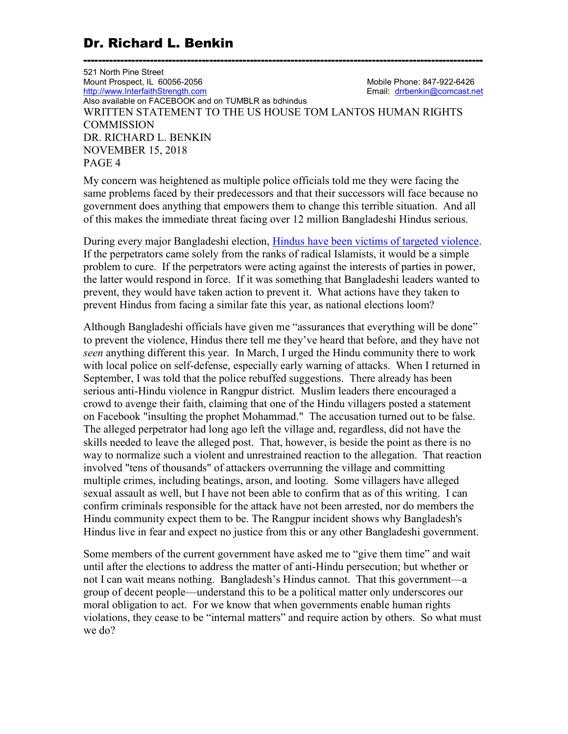521 North Pine Street Mount Prospect, IL 60056-2056 Mount Prospect, IL 60056-2056 Mobile Phone: 847-922-6426<br>http://www.InterfaithStrength.com Mobile Phone: 847-922-6426 http://www.InterfaithStrength.com Also available on FACEBOOK and on TUMBLR as bdhindus WRITTEN STATEMENT TO THE US HOUSE TOM LANTOS HUMAN RIGHTS **COMMISSION** DR. RICHARD L. BENKIN NOVEMBER 15, 2018 PAGE 4

------------------------------------------------------------------------------------------------------------

My concern was heightened as multiple police officials told me they were facing the same problems faced by their predecessors and that their successors will face because no government does anything that empowers them to change this terrible situation. And all of this makes the immediate threat facing over 12 million Bangladeshi Hindus serious.

During every major Bangladeshi election, Hindus have been victims of targeted violence. If the perpetrators came solely from the ranks of radical Islamists, it would be a simple problem to cure. If the perpetrators were acting against the interests of parties in power, the latter would respond in force. If it was something that Bangladeshi leaders wanted to prevent, they would have taken action to prevent it. What actions have they taken to prevent Hindus from facing a similar fate this year, as national elections loom?

Although Bangladeshi officials have given me "assurances that everything will be done" to prevent the violence, Hindus there tell me they've heard that before, and they have not seen anything different this year. In March, I urged the Hindu community there to work with local police on self-defense, especially early warning of attacks. When I returned in September, I was told that the police rebuffed suggestions. There already has been serious anti-Hindu violence in Rangpur district. Muslim leaders there encouraged a crowd to avenge their faith, claiming that one of the Hindu villagers posted a statement on Facebook "insulting the prophet Mohammad." The accusation turned out to be false. The alleged perpetrator had long ago left the village and, regardless, did not have the skills needed to leave the alleged post. That, however, is beside the point as there is no way to normalize such a violent and unrestrained reaction to the allegation. That reaction involved "tens of thousands" of attackers overrunning the village and committing multiple crimes, including beatings, arson, and looting. Some villagers have alleged sexual assault as well, but I have not been able to confirm that as of this writing. I can confirm criminals responsible for the attack have not been arrested, nor do members the Hindu community expect them to be. The Rangpur incident shows why Bangladesh's Hindus live in fear and expect no justice from this or any other Bangladeshi government.

Some members of the current government have asked me to "give them time" and wait until after the elections to address the matter of anti-Hindu persecution; but whether or not I can wait means nothing. Bangladesh's Hindus cannot. That this government—a group of decent people—understand this to be a political matter only underscores our moral obligation to act. For we know that when governments enable human rights violations, they cease to be "internal matters" and require action by others. So what must we do?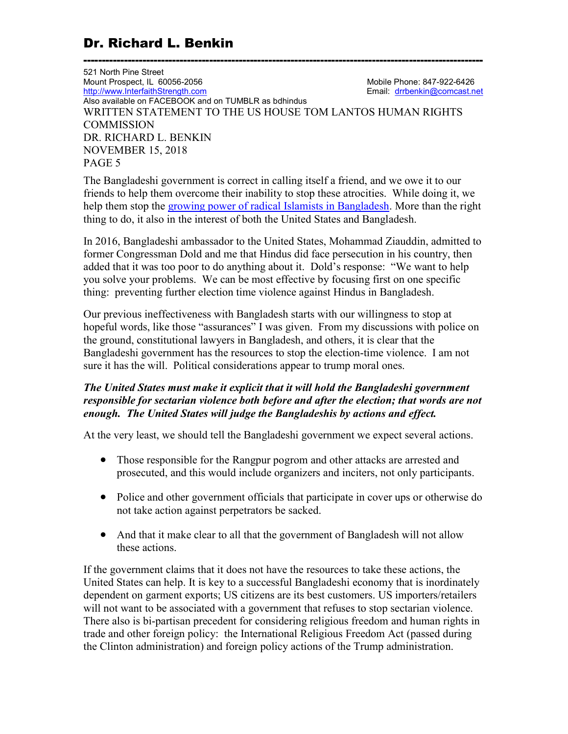521 North Pine Street Mount Prospect, IL 60056-2056 Mount Prospect, IL 60056-2056 Mobile Phone: 847-922-6426<br>http://www.InterfaithStrength.com Mobile Phone: 847-922-6426 http://www.InterfaithStrength.com Also available on FACEBOOK and on TUMBLR as bdhindus WRITTEN STATEMENT TO THE US HOUSE TOM LANTOS HUMAN RIGHTS **COMMISSION** DR. RICHARD L. BENKIN NOVEMBER 15, 2018 PAGE 5

------------------------------------------------------------------------------------------------------------

The Bangladeshi government is correct in calling itself a friend, and we owe it to our friends to help them overcome their inability to stop these atrocities. While doing it, we help them stop the growing power of radical Islamists in Bangladesh. More than the right thing to do, it also in the interest of both the United States and Bangladesh.

In 2016, Bangladeshi ambassador to the United States, Mohammad Ziauddin, admitted to former Congressman Dold and me that Hindus did face persecution in his country, then added that it was too poor to do anything about it. Dold's response: "We want to help you solve your problems. We can be most effective by focusing first on one specific thing: preventing further election time violence against Hindus in Bangladesh.

Our previous ineffectiveness with Bangladesh starts with our willingness to stop at hopeful words, like those "assurances" I was given. From my discussions with police on the ground, constitutional lawyers in Bangladesh, and others, it is clear that the Bangladeshi government has the resources to stop the election-time violence. I am not sure it has the will. Political considerations appear to trump moral ones.

### The United States must make it explicit that it will hold the Bangladeshi government responsible for sectarian violence both before and after the election; that words are not enough. The United States will judge the Bangladeshis by actions and effect.

At the very least, we should tell the Bangladeshi government we expect several actions.

- Those responsible for the Rangpur pogrom and other attacks are arrested and prosecuted, and this would include organizers and inciters, not only participants.
- Police and other government officials that participate in cover ups or otherwise do not take action against perpetrators be sacked.
- And that it make clear to all that the government of Bangladesh will not allow these actions.

If the government claims that it does not have the resources to take these actions, the United States can help. It is key to a successful Bangladeshi economy that is inordinately dependent on garment exports; US citizens are its best customers. US importers/retailers will not want to be associated with a government that refuses to stop sectarian violence. There also is bi-partisan precedent for considering religious freedom and human rights in trade and other foreign policy: the International Religious Freedom Act (passed during the Clinton administration) and foreign policy actions of the Trump administration.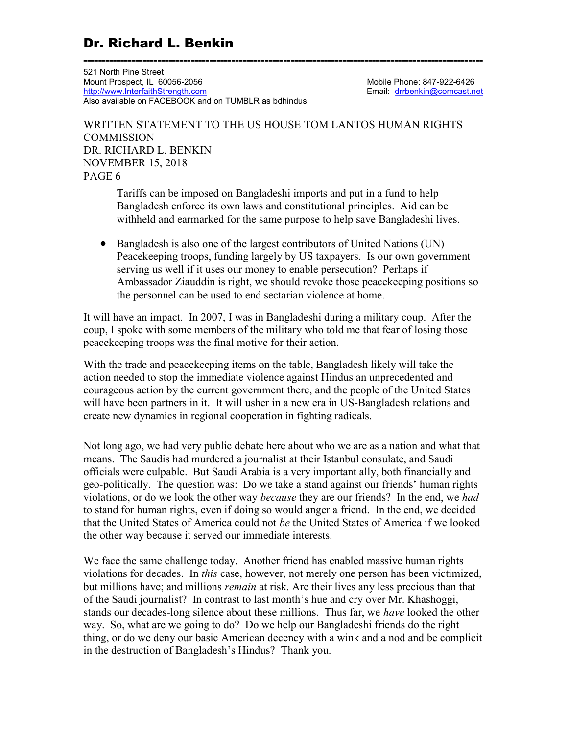------------------------------------------------------------------------------------------------------------ 521 North Pine Street Mount Prospect, IL 60056-2056 Mount Prospect, IL 60056-2056 Mobile Phone: 847-922-6426<br>http://www.InterfaithStrength.com Mobile Phone: 847-922-6426 http://www.InterfaithStrength.com Also available on FACEBOOK and on TUMBLR as bdhindus

### WRITTEN STATEMENT TO THE US HOUSE TOM LANTOS HUMAN RIGHTS **COMMISSION** DR. RICHARD L. BENKIN NOVEMBER 15, 2018 PAGE 6

Tariffs can be imposed on Bangladeshi imports and put in a fund to help Bangladesh enforce its own laws and constitutional principles. Aid can be withheld and earmarked for the same purpose to help save Bangladeshi lives.

 Bangladesh is also one of the largest contributors of United Nations (UN) Peacekeeping troops, funding largely by US taxpayers. Is our own government serving us well if it uses our money to enable persecution? Perhaps if Ambassador Ziauddin is right, we should revoke those peacekeeping positions so the personnel can be used to end sectarian violence at home.

It will have an impact. In 2007, I was in Bangladeshi during a military coup. After the coup, I spoke with some members of the military who told me that fear of losing those peacekeeping troops was the final motive for their action.

With the trade and peacekeeping items on the table, Bangladesh likely will take the action needed to stop the immediate violence against Hindus an unprecedented and courageous action by the current government there, and the people of the United States will have been partners in it. It will usher in a new era in US-Bangladesh relations and create new dynamics in regional cooperation in fighting radicals.

Not long ago, we had very public debate here about who we are as a nation and what that means. The Saudis had murdered a journalist at their Istanbul consulate, and Saudi officials were culpable. But Saudi Arabia is a very important ally, both financially and geo-politically. The question was: Do we take a stand against our friends' human rights violations, or do we look the other way *because* they are our friends? In the end, we had to stand for human rights, even if doing so would anger a friend. In the end, we decided that the United States of America could not be the United States of America if we looked the other way because it served our immediate interests.

We face the same challenge today. Another friend has enabled massive human rights violations for decades. In this case, however, not merely one person has been victimized, but millions have; and millions *remain* at risk. Are their lives any less precious than that of the Saudi journalist? In contrast to last month's hue and cry over Mr. Khashoggi, stands our decades-long silence about these millions. Thus far, we have looked the other way. So, what are we going to do? Do we help our Bangladeshi friends do the right thing, or do we deny our basic American decency with a wink and a nod and be complicit in the destruction of Bangladesh's Hindus? Thank you.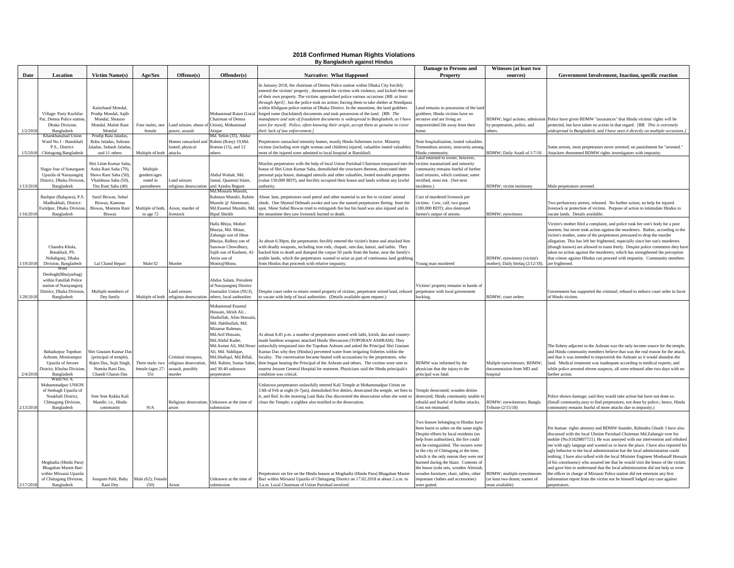### **2018 Confirmed Human Rights Violations By Bangladesh against Hindus**

|           |                                                                                                                      |                                                                                                                        |                                                     |                                                                          |                                                                                                                                                                                                                                                                                               |                                                                                                                                                                                                                                                                                                                                                                                                                                                                                                                                                                                                                                                                                                                                                      | <b>Damage to Persons and</b>                                                                                                                                                                                                                                                                                                                                                                                                                                               | Witnsses (at least two                                                                 |                                                                                                                                                                                                                                                                                                                                                                                                                                                                                                                                                                                                                                                                                                                                                                                                                                       |
|-----------|----------------------------------------------------------------------------------------------------------------------|------------------------------------------------------------------------------------------------------------------------|-----------------------------------------------------|--------------------------------------------------------------------------|-----------------------------------------------------------------------------------------------------------------------------------------------------------------------------------------------------------------------------------------------------------------------------------------------|------------------------------------------------------------------------------------------------------------------------------------------------------------------------------------------------------------------------------------------------------------------------------------------------------------------------------------------------------------------------------------------------------------------------------------------------------------------------------------------------------------------------------------------------------------------------------------------------------------------------------------------------------------------------------------------------------------------------------------------------------|----------------------------------------------------------------------------------------------------------------------------------------------------------------------------------------------------------------------------------------------------------------------------------------------------------------------------------------------------------------------------------------------------------------------------------------------------------------------------|----------------------------------------------------------------------------------------|---------------------------------------------------------------------------------------------------------------------------------------------------------------------------------------------------------------------------------------------------------------------------------------------------------------------------------------------------------------------------------------------------------------------------------------------------------------------------------------------------------------------------------------------------------------------------------------------------------------------------------------------------------------------------------------------------------------------------------------------------------------------------------------------------------------------------------------|
| Date      | <b>Location</b>                                                                                                      | <b>Victim Name(s)</b>                                                                                                  | Age/Sex                                             | Offense(s)                                                               | Offender(s)                                                                                                                                                                                                                                                                                   | <b>Narrative: What Happened</b>                                                                                                                                                                                                                                                                                                                                                                                                                                                                                                                                                                                                                                                                                                                      | <b>Property</b>                                                                                                                                                                                                                                                                                                                                                                                                                                                            | sources)                                                                               | Government Involvement, Inaction, specific reaction                                                                                                                                                                                                                                                                                                                                                                                                                                                                                                                                                                                                                                                                                                                                                                                   |
| 1/2/2018  | Village: Party Kuchilar<br>Par, Demra Police station<br>Dhaka Division,<br>Bangladesh                                | Kalachand Mondal.<br>Prodip Mondal, Sajib<br>Mondal, Shourav<br>Mondal, Maloti Rani<br>Mondal                          | Four males, one<br>female                           | and seizure, abuse of Union), Mohammad<br>ower, assault                  | Mohammad Ratan (Local<br>Chairman of Demra<br>Atique                                                                                                                                                                                                                                          | In January 2018, the chairman of Demra Police station within Dhaka City forcibly<br>entered the victims' property, threatened the victims with violence, and kicked them ou<br>of their own property. The victims approached police various occasions [RB: at least<br>through April], but the police took no action; forcing them to take shelter at Nondipara<br>within Khilgaon police station of Dhaka District. In the meantime, the land grabbers<br>forged some (backdated) documents and took possession of the land. [RB: The<br>anufature and sale of fraudulent documents is widespread in Bangladesh, as I have<br>een for myself. Police, often knowing their origin, accept them as genuine to cover<br>heir lack of law enforcement.] | Land remains in possession of the land<br>grabbers; Hindu victims have no<br>recourse and are living an<br>npoverished life away from their<br>home                                                                                                                                                                                                                                                                                                                        | y perpetrators, police, and<br>thers.                                                  | BDMW; legal actions; admission Police have given BDMW "assurances" that Hindu victims' rights will be<br>protected, but have taken no action in that regard. [RB: This is extremely<br>widespread in Bangladesh, and I have seen it directly on multiple occasions.]                                                                                                                                                                                                                                                                                                                                                                                                                                                                                                                                                                  |
|           | Khankhanabad Union                                                                                                   | Prodip Bala Jaladas                                                                                                    |                                                     |                                                                          | Md. Selim (35), Abdur                                                                                                                                                                                                                                                                         |                                                                                                                                                                                                                                                                                                                                                                                                                                                                                                                                                                                                                                                                                                                                                      |                                                                                                                                                                                                                                                                                                                                                                                                                                                                            |                                                                                        |                                                                                                                                                                                                                                                                                                                                                                                                                                                                                                                                                                                                                                                                                                                                                                                                                                       |
| 1/5/2018  | Ward No.1 - Banskhali<br>P.S., District-<br>Chittagong.Bangladesh                                                    | Roba Jaladas, Subrata<br>Jaladas, Subash Jaladas,<br>and 11 others                                                     | Multiple of both                                    | Iomes ransacked and<br>looted; physical<br>attacks                       | Rahim (Rony) 19, Md.<br>Romon (15), and 12<br>others                                                                                                                                                                                                                                          | Perpetrators ransacked minority homes, mostly Hindu fishermen twice. Minority<br>victims (including over eight woman and children) injured, valuables looted valuables;<br>nost of the injured were admitted to local hospital at Banskhali.                                                                                                                                                                                                                                                                                                                                                                                                                                                                                                         | Note hospitalization, looted valuables<br>Tremendous anxiety, insecurity among<br>Hindu community.<br>and returned to owner, however                                                                                                                                                                                                                                                                                                                                       | BDMW; Daily Azadi of 1/7/18                                                            | Some arrests, most perpetrators never arrested; no punishment for "arrested."<br>Attackers threatened BDMW rights investigators with impunity.                                                                                                                                                                                                                                                                                                                                                                                                                                                                                                                                                                                                                                                                                        |
| 1/13/2018 | Nagar Joar of Sonargaon<br>Upazila of Narayanginj<br>District, Dhaka Division<br>Bangladesh                          | Shri Liton Kumar Saha<br>Anita Rani Saha (70),<br>Shova Rani Saha (50),<br>Vhalobasa Saha (50),<br>Titu Rani Saha (40) | Multiple<br>genders/ages<br>noted in<br>parentheses | and seizure;<br>eligious desescration                                    | Abdul Wahab, Md.<br>Jamal, Quamrul Islam,<br>and Ayesha Begum<br>Ad.Mostafa Munshi.                                                                                                                                                                                                           | Muslim perpetrators with the help of local Union Parishad Chairman trespassed into th<br>house of Shri Liton Kumar Saha, demolished the structures thereon, desecrated their<br>personal puja house, damaged utensils and other valuables, looted movable properties<br>value 150,000 BDT), and forcibly occupied their house and lands without any lawful<br>authority.                                                                                                                                                                                                                                                                                                                                                                             | victims traumatized and minority<br>community remains fearful of further<br>land seizures, which continue; some<br>rectified, most not. (See next<br>ncidents.)                                                                                                                                                                                                                                                                                                            | <b>BDMW</b> : victim testimony                                                         | Male perpetrators arrested                                                                                                                                                                                                                                                                                                                                                                                                                                                                                                                                                                                                                                                                                                                                                                                                            |
| /16/2018  | Bashpur (Balapara), P.S.<br>Madhukhali, District-<br>Faridpur, Dhaka Division<br>Bangladesh                          | Sunil Biswas, Subal<br>Biswas, Kamona<br>Biswas, Momota Rani<br><b>Biswas</b>                                          | Multiple of both<br>to age 72                       | Arson, murder of<br>ivestock                                             | Rahman Munshi, Rahin<br>Munshi @ Alemmoni,<br>Md.Enamul Munshi, Mo<br><b>Bipul Sheikh</b>                                                                                                                                                                                                     | about 3am, perpetrators used petrol and other material to set fire to victims' animal<br>heds. One Shymol Debnath awoke and saw the named perpetrators fleeing from the<br>pot. Shree Subal Biswas tried to extinguish fire but his hand was also injured and in<br>he meantime they saw livestock burned to death                                                                                                                                                                                                                                                                                                                                                                                                                                   | Cost of murdered livestock per<br>rictims: Cow, calf, two goats<br>180,000 BDT); also destroyed<br>armer's output of onions.                                                                                                                                                                                                                                                                                                                                               | <b>DMW</b> ; eyewitness                                                                | Two perfunctory arrests, released. No further action; no help for injured<br>livestock or protection of victims. Purpose of action to intimidate Hindus to<br>vacate lands. Details available.                                                                                                                                                                                                                                                                                                                                                                                                                                                                                                                                                                                                                                        |
| 1/19/2018 | Chandra Khola.<br>Borakhali, PS.<br>Nobabgonj, Dhaka<br>Division, Bangladesh                                         | Lal Chand Bepari                                                                                                       | Male/32                                             | Murder                                                                   | Hafiz Bhiya, Mofzel<br>Bhuiya, Md. Minar,<br>Zahangir son of Jibon<br>Bhuiya, Ridhoy son of<br>Sanowar Chowdhury,<br>Sajib son of Kashem, Al-<br>Amin son of<br>Monir@Monu                                                                                                                    | At about 6:30pm, the perpetrators forcibly entered the victim's home and attacked him<br>with deadly weapons, including iron rods, chapati, ram dao, haturi, and lathis. They<br>acked him to death and dumped the corpse 50 yards from the home, near the family's<br>rable lands, which the perpetrators wanted to seize as part of continuous land grabbing<br>rom Hindus that proceeds with relative impunity                                                                                                                                                                                                                                                                                                                                    | Young man murdered                                                                                                                                                                                                                                                                                                                                                                                                                                                         | BDMW; eyewitness (victim's<br>nother); Daily Ittefaq (2/12/18)                         | Victim's mother filed a complaint, and police took her son's body for a post<br>mortem; but never took action against the murderers. Rather, according to the<br>victim's mother, some of the perpetrators pressured to drop the murder<br>allegation. This has left her frightened, especially since her son's murderers<br>(though known) are allowed to roam freely. Despite police comments they have<br>taken no action against the murderers; which has strengthened the perception<br>that crimes against HIndus can proceed with impunity. Community members<br>are frightened                                                                                                                                                                                                                                                |
| 1/20/2018 | Deobogh(Bhuiyarbag)<br>within Fatullah Police<br>station of Narayangonj<br>District, Dhaka Division<br>Bangladesh    | Multiple members of<br>Dey family                                                                                      | Multiple of both                                    | and seizure;<br>eligious desescration                                    | Abdus Salam, President<br>of Narayangonj District<br>Journalist Union (NUJ),<br>others: local authorities                                                                                                                                                                                     | Despite court order to return vested property of victims, perpetrator seized land, refused<br>o vacate with help of local authorities. (Details available upon request.)                                                                                                                                                                                                                                                                                                                                                                                                                                                                                                                                                                             | Victims' property remains in hands of<br>perpetrator with local government<br>backing.                                                                                                                                                                                                                                                                                                                                                                                     | <b>SDMW</b> : court orders                                                             | Government has supported the criminal; refused to enforce court order in favor<br>of Hindu victims                                                                                                                                                                                                                                                                                                                                                                                                                                                                                                                                                                                                                                                                                                                                    |
| 2/4/2018  | Bahadurpur Topoban<br>Ashram, Monirampur<br>Upazila of Jessore<br>District, Khulna Divisio<br>Bangladesh             | Shri Goutam Kumar Das<br>(principal of temple),<br>Rajen Das, Sujit Singh<br>Nomita Rani Das,<br>Chandi Charan Das     | Three male; two<br>female (ages 27-<br>55)          | Criminal tresspass,<br>eligious desecration<br>ssault, possibly<br>urder | Mohammad Enamul<br>Hossain, Idrish Ali,<br>Shafiullah, Alim Hossai<br>Md. Habibullah, Md.<br>Mizanur Rahman,<br>Md.Arif Hossain,<br>Md.Abdul Kader,<br>Md.Asmat Ali, Md.Neser<br>Ali, Md. Siddique,<br>Md.Shafiqul, Md.Billal,<br>Md. Rahim, Samar Saker,<br>and 30-40 unknown<br>erpetrators | At about 8.45 p.m. a number of perpetrators armed with lathi, kirish, dao and country-<br>nade bamboo weapons attacked Hindu Shevasram (TOPOBAN ASHRAM). They<br>inlawfully trespassed into the Topoban Ashram and asked the Principal Shri Goutam<br>umar Das why they (Hindus) prevented water from irrigating fisheries within the<br>ocality. The conversation became heated with accusations by the perpetrators, who<br>hen began beating the Principal of the Ashram and others. The victims were sent to<br>earest Jessore General Hospital for reatment. Physicians said the Hindu principals's<br>ondition was critical.                                                                                                                   | BDMW was informed by the<br>ohysician that the injury to the<br>rincipal was fatal.                                                                                                                                                                                                                                                                                                                                                                                        | Muliple eyewitnesses; BDMW;<br>locumentation from MD and<br>snital                     | The fishery adjacent to the Ashram was the only income source for the temple,<br>and Hindu community members believe that was the real reason for the attack,<br>and that it was intended to impoverish the Ashram so it would abandon the<br>land. Medical treatment was inadequate according to medical experts; and<br>while police arrested eleven suspects, all were released after two days with no<br>iurther action.                                                                                                                                                                                                                                                                                                                                                                                                          |
| 2/13/2018 | Ward No. 9<br>Mohammadpur UNION<br>of Senbagh Upazila of<br>Noakhali District,<br>Chittagong Division,<br>Bangladesh | Sree Sree Rakka Kali<br>Mandir; i.e., Hindu<br>community                                                               | ${\rm N/A}$                                         |                                                                          | Religious desecration; Unknown at the time of<br>ubmission                                                                                                                                                                                                                                    | Jnknown perpetrators unlawfully entered Kali Temple at Mohammadpur Union on<br>13th of Feb at night (6-7pm), demolished five deities, desecrated the temple, set fires in<br>t, and fled. In the morning Loni Bala Das discovered the desecration when she went to<br>clean the Temple; a nighbor also testified to the desecration.                                                                                                                                                                                                                                                                                                                                                                                                                 | l'emple desecrated; wooden deities<br>lestroyed; Hindu community unable to<br>rebuild and fearful of further attacks.<br>Cost not estimated.                                                                                                                                                                                                                                                                                                                               | <b>BDMW</b> ; eyewitnesses; Bangla<br>Fribune (2/15/18)                                | Police shown damage; said they would take action but have not done so.<br>Small community, easy to find perpetrators; not done by police.; hence, Hindu<br>ommunity remains fearful of more attacks due to impunity.)                                                                                                                                                                                                                                                                                                                                                                                                                                                                                                                                                                                                                 |
| 2/17/2018 | Moghadia (Hindu Para)<br>Bhagaban Master Bari<br>within Mirsarai Upazila<br>of Chittagong Division,<br>Bangladesh    | Anupam Palit, Baby<br>Rani Dev                                                                                         | Male (62); Female<br>(50)                           | Arson                                                                    | Unknown at the time of<br>submission                                                                                                                                                                                                                                                          | Perpetrators set fire on the Hindu houses at Moghadia (Hindu Para) Bhagaban Master<br>Bari within Mirsarai Upazila of Chittagong District on 17.02.2018 at about 2 a.m. to<br>3.a.m. Local Chairman of Union Parishad involved.                                                                                                                                                                                                                                                                                                                                                                                                                                                                                                                      | Iwo houses belonging to Hindus have<br>een burnt to ashes on the same night<br>Despite efforts by local residents (no<br>help from authorities), the fire could<br>not be extinguished. The owners were<br>in the city of Chittagong at the time,<br>which is the only reason they were not<br>narmed during the blaze. Contents of<br>he house (sofa sets, wooden Almirah,<br>wooden furniture, chair, tables, other<br>mportant clothes and accessories)<br>were gutted. | <b>BDMW</b> ; multiple eyewitnesses<br>at least two dozen; names of<br>nost available) | Per human rights attorney and BDMW founder, Rabindra Ghosh: I have also<br>discussed with the local Ubnion Parishad Chairman Md.Zahangir over his<br>mobile (No.01829807721). He was annoyed with our intervention and rebuked<br>me with ugly languge and wanted us to leave the place. I have also reported his<br>ugly behavior to the local administration but the local administration could<br>nothing. I have also talked with the local Minister Engineer Mosharaff Hossain<br>of his constituency who assured me that he would visit the house of the victim;<br>and gave him to understand that the local administration did not help us even<br>the officer in charge of Mirsarai Police station did not entertain any first<br>information report from the victim nor he himself lodged any case against<br>perpetrators. |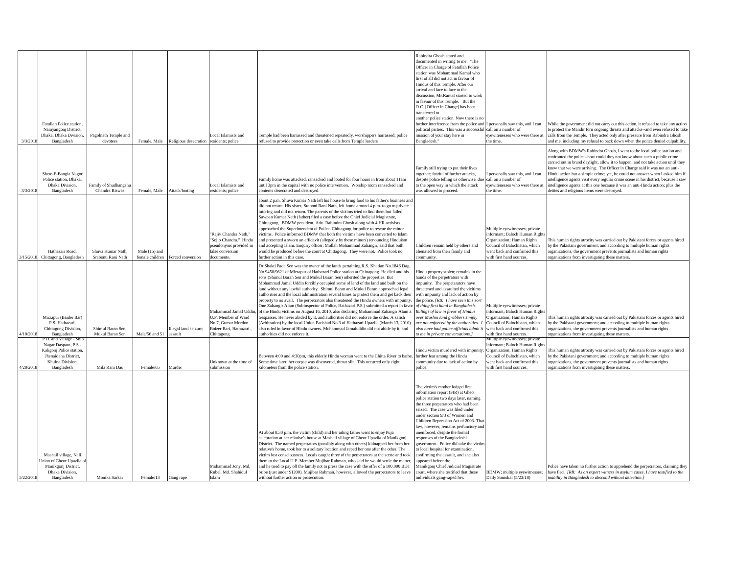|           |                                                       |                                         |                                  |                                    |                                            |                                                                                                                                                                                    | Rabindra Ghosh stated and                                                         |                                                                     |                                                                                                                                                                     |
|-----------|-------------------------------------------------------|-----------------------------------------|----------------------------------|------------------------------------|--------------------------------------------|------------------------------------------------------------------------------------------------------------------------------------------------------------------------------------|-----------------------------------------------------------------------------------|---------------------------------------------------------------------|---------------------------------------------------------------------------------------------------------------------------------------------------------------------|
|           |                                                       |                                         |                                  |                                    |                                            |                                                                                                                                                                                    | documented in writing to me: "The                                                 |                                                                     |                                                                                                                                                                     |
|           |                                                       |                                         |                                  |                                    |                                            |                                                                                                                                                                                    | Officer in Charge of Fatullah Police                                              |                                                                     |                                                                                                                                                                     |
|           |                                                       |                                         |                                  |                                    |                                            |                                                                                                                                                                                    | station was Mohammad Kamal who                                                    |                                                                     |                                                                                                                                                                     |
|           |                                                       |                                         |                                  |                                    |                                            |                                                                                                                                                                                    | first of all did not act in favour of                                             |                                                                     |                                                                                                                                                                     |
|           |                                                       |                                         |                                  |                                    |                                            |                                                                                                                                                                                    | Hindus of this Temple. After our                                                  |                                                                     |                                                                                                                                                                     |
|           |                                                       |                                         |                                  |                                    |                                            |                                                                                                                                                                                    | arrival and face to face to the                                                   |                                                                     |                                                                                                                                                                     |
|           |                                                       |                                         |                                  |                                    |                                            |                                                                                                                                                                                    | discussion, Mr.Kamal started to work<br>in favour of this Temple. But the         |                                                                     |                                                                                                                                                                     |
|           |                                                       |                                         |                                  |                                    |                                            |                                                                                                                                                                                    | O.C. [Officer in Charge] has been                                                 |                                                                     |                                                                                                                                                                     |
|           |                                                       |                                         |                                  |                                    |                                            |                                                                                                                                                                                    | transferred to                                                                    |                                                                     |                                                                                                                                                                     |
|           |                                                       |                                         |                                  |                                    |                                            |                                                                                                                                                                                    | another police station. Now there is no                                           |                                                                     |                                                                                                                                                                     |
|           | Fatullah Police station.                              |                                         |                                  |                                    |                                            |                                                                                                                                                                                    | further interference from the police and                                          | personally saw this, and I can                                      | While the government did not carry out this action, it refused to take any action                                                                                   |
|           | Narayangonj District,                                 |                                         |                                  |                                    |                                            |                                                                                                                                                                                    | political parties. This was a successful                                          | call on a number of                                                 | o protect the Mandir forn ongoing threats and attacks--and even refused to take                                                                                     |
|           | Dhaka, Dhaka Division,                                | Pagolnath Temple and<br>devotees        |                                  |                                    | ocal Islamists and                         | Temple had been harrassed and threatened repeatedly, worshippers harrassed; police                                                                                                 | mission of your stay here in                                                      | eyewitenesses who were there at<br>he time.                         | calls from the Temple. They acted only after pressure from Rabindra Ghosh                                                                                           |
| 3/3/2018  | Bangladesh                                            |                                         |                                  | Female, Male Religious desecration | residents; police                          | refused to provide protection or even take calls from Temple leaders                                                                                                               | Bangladesh.'                                                                      |                                                                     | and me, including my refusal to back down when the police denied culpability                                                                                        |
|           |                                                       |                                         |                                  |                                    |                                            |                                                                                                                                                                                    |                                                                                   |                                                                     | Along with BDMW's Rabindra Ghosh, I went to the local police station and                                                                                            |
|           |                                                       |                                         |                                  |                                    |                                            |                                                                                                                                                                                    |                                                                                   |                                                                     | confronted the police--how could they not know about such a public crime                                                                                            |
|           |                                                       |                                         |                                  |                                    |                                            |                                                                                                                                                                                    |                                                                                   |                                                                     | carried out in braod daylight, allow it to happen, and not take action until they                                                                                   |
|           |                                                       |                                         |                                  |                                    |                                            |                                                                                                                                                                                    | Family still trying to put their lives                                            |                                                                     | knew that we were arriving. The Officer in Charge said it was not an anti-                                                                                          |
|           | Shere-E-Bangla Nagor<br>Police station, Dhaka,        |                                         |                                  |                                    |                                            | Family home was attacked, ransacked and looted for four hours in from about 11am                                                                                                   | together; fearful of further attacks,<br>despite police telling us otherwise, due | personally saw this, and I can<br>call on a number of               | Hindu action but a simple crime; yet, he could not answer when I asked him if<br>intelligence agents visit every regular crime scene in his district, because I saw |
|           | Dhaka Division,                                       | amily of Shudhangshu                    |                                  |                                    | Local Islamists and                        | until 3pm in the capital with no police intervention. Worship room ransacked and                                                                                                   | to the open way in which the attack                                               | yewitenesses who were there at                                      | intelligence agents at this one because it was an anti-Hindu action; plus the                                                                                       |
| 3/3/2018  | Bangladesh                                            | Chandra Biswas                          | Female, Male                     | Attack/looting                     | residents; police                          | contents desecrated and destroyed.                                                                                                                                                 | was allowed to proceed.                                                           | he time.                                                            | deities and religious items were destroyed.                                                                                                                         |
|           |                                                       |                                         |                                  |                                    |                                            |                                                                                                                                                                                    |                                                                                   |                                                                     |                                                                                                                                                                     |
|           |                                                       |                                         |                                  |                                    |                                            | about 2 p.m. Shuva Kumar Nath left his house to bring food to his father's business and<br>did not return. His sister, Sraboni Rani Nath, left home around 4 p.m. to go to private |                                                                                   |                                                                     |                                                                                                                                                                     |
|           |                                                       |                                         |                                  |                                    |                                            | tutoring and did not return. The parents of the victims tried to find them but failed.                                                                                             |                                                                                   |                                                                     |                                                                                                                                                                     |
|           |                                                       |                                         |                                  |                                    |                                            | Sawpan Kumar Nath (father) filed a case before the Chief Judicial Magistrate,                                                                                                      |                                                                                   |                                                                     |                                                                                                                                                                     |
|           |                                                       |                                         |                                  |                                    |                                            | Chittagong. BDMW president, Adv. Rabindra Ghosh along with 4 HR activists                                                                                                          |                                                                                   |                                                                     |                                                                                                                                                                     |
|           |                                                       |                                         |                                  |                                    |                                            | approached the Superintendent of Police, Chittagong for police to rescue the minor                                                                                                 |                                                                                   | Multiple eyewitnesses; private                                      |                                                                                                                                                                     |
|           |                                                       |                                         |                                  |                                    | "Rajiv Chandra Nath,"                      | victims. Police informed BDMW that both the victims have been converted to Islam                                                                                                   |                                                                                   | nformant; Baloch Human Right                                        |                                                                                                                                                                     |
|           |                                                       |                                         |                                  |                                    | "Sojib Chandra." Hindu                     | and presented a sworn an affidavit (allegedly by these minors) renouncing Hinduism                                                                                                 |                                                                                   | <b>Drganization</b> ; Human Rights                                  | This human rights atrocity was carried out by Pakistani forces or agents hired                                                                                      |
|           |                                                       |                                         |                                  |                                    | pseudonyms provided in                     | and accepting Islam. Enquiry officer, Mollah Mohammad Zahangir, said that both                                                                                                     | Children remain held by others and<br>alienated from their family and             | Council of Balochistan, which<br>went back and confirmed this       | by the Pakistani government; and according to multiple human rights                                                                                                 |
|           | Hathazari Road,<br>Chittagong, Bangladesh<br>/15/2018 | Shuva Kumar Nath.<br>Srabonti Rani Nath | Male (15) and<br>female children | orced conversion                   | false conversion<br>documents.             | would be produced before the court at Chittagong. They were not. Police took no<br>further action in this case.                                                                    | community.                                                                        | vith first hand sources.                                            | rganizations, the government prevents journalists and human rights<br>organizations from investigating these matters.                                               |
|           |                                                       |                                         |                                  |                                    |                                            |                                                                                                                                                                                    |                                                                                   |                                                                     |                                                                                                                                                                     |
|           |                                                       |                                         |                                  |                                    |                                            | Dr.Shakti Pada Sen was the owner of the lands pertaining R.S. Khatian No.1846 Dag                                                                                                  |                                                                                   |                                                                     |                                                                                                                                                                     |
|           |                                                       |                                         |                                  |                                    |                                            | No.9450/9621 of Mirzapur of Hathazari Police station at Chittagong. He died and his<br>sons (Shimul Baran Sen and Mukul Baran Sen) inherited the properties. But                   | Hindu property stolen; remains in the                                             |                                                                     |                                                                                                                                                                     |
|           |                                                       |                                         |                                  |                                    |                                            | Mohammad Jamal Uddin forcibly occupied some of land of the land and built on the                                                                                                   | hands of the perpetrators with<br>impunity. The perpetarators have                |                                                                     |                                                                                                                                                                     |
|           |                                                       |                                         |                                  |                                    |                                            | land without any lawful authority. Shimul Baran and Mukul Baran approached legal                                                                                                   | threatened and assaulted the vicitims                                             |                                                                     |                                                                                                                                                                     |
|           |                                                       |                                         |                                  |                                    |                                            | authorities and the local administration several times to protect them and get back their                                                                                          | with impunity and lack of action by                                               |                                                                     |                                                                                                                                                                     |
|           |                                                       |                                         |                                  |                                    |                                            | property to no avail. The perpetrators also threatened the Hindu owners with impunity.                                                                                             | the police. [RB: I have seen this sort                                            |                                                                     |                                                                                                                                                                     |
|           |                                                       |                                         |                                  |                                    |                                            | One Zahangir Alam (Subinspector of Police, Hathazari P.S.) submitted a report in favor                                                                                             | of thing first hand in Bangladesh.                                                | Multiple eyewitnesses; private                                      |                                                                                                                                                                     |
|           |                                                       |                                         |                                  |                                    | Mohammad Jamal Uddi<br>U.P. Member of Ward | of the Hindu victims on August 16, 2010, also declaring Mohammad Zahangir Alam a                                                                                                   | Rulings of law in favor of Hindus                                                 | nformant; Baloch Human Rights                                       |                                                                                                                                                                     |
|           | Mirzapur (Baider Bar)<br>P.S. Hathazari,              |                                         |                                  |                                    | No.7, Gumar Mordon                         | respasser. He never abided by it, and authorities did not enforce the order. A salish<br>(Arbitration) by the local Union Parishad No.3 of Hathazari Upazila (March 13, 2010)      | over Muslim land grabbers simply<br>are not enforced by the authorities.          | <b>Organization</b> ; Human Rights<br>Council of Balochistan, which | This human rights atrocity was carried out by Pakistani forces or agents hired<br>by the Pakistani government; and according to multiple human rights               |
|           | Chittagong Division,                                  | Shimul Baran Sen.                       |                                  | Illegal land seizure;              | Boizer Bari, Hathazari                     | also ruled in favor of Hindu owners. Mohammad Jamaluddin did not abide by it, and                                                                                                  | also have had police officials admit it                                           | went back and confirmed this                                        | organizations, the government prevents journalists and human rights                                                                                                 |
| 4/10/2018 | Bangladesh                                            | Mukul Baran Sen                         | Male/56 and 51                   | issault                            | Chittagong                                 | authorities did not enforce it.                                                                                                                                                    | o me in private conversations.]                                                   | with first hand sources.                                            | organizations from investigating these matters.                                                                                                                     |
|           | 2.O. and Village - Sh                                 |                                         |                                  |                                    |                                            |                                                                                                                                                                                    |                                                                                   | Multiple eyewitnesses; private                                      |                                                                                                                                                                     |
|           | Nagar Daspara, P.S.                                   |                                         |                                  |                                    |                                            |                                                                                                                                                                                    |                                                                                   | nformant; Baloch Human Right                                        |                                                                                                                                                                     |
|           | Kaligonj Police station<br>Jhenaidaha District.       |                                         |                                  |                                    |                                            |                                                                                                                                                                                    | Hindu victim murdered with impunity<br>further fear among the Hindu               | Organization; Human Rights<br>Council of Balochistan, which         | This human rights atrocity was carried out by Pakistani forces or agents hired<br>by the Pakistani government; and according to multiple human rights               |
|           | Khulna Division.                                      |                                         |                                  |                                    | Unknown at the time of                     | Between 4:00 and 4:30pm, this elderly Hindu woman went to the Chitta River to bathe<br>Some time later, her corpse was discovered, throat slit. This occurred only eight           | community due to lack of action by                                                | vent back and confirmed this                                        | organizations, the government prevents journalists and human rights                                                                                                 |
| 1/28/2018 | Bangladesh                                            | Mila Rani Das                           | Female/65                        | Murder                             | submission                                 | cilometers from the police station                                                                                                                                                 | police.                                                                           | vith first hand sources.                                            | organizations from investigating these matters                                                                                                                      |
|           |                                                       |                                         |                                  |                                    |                                            |                                                                                                                                                                                    |                                                                                   |                                                                     |                                                                                                                                                                     |
|           |                                                       |                                         |                                  |                                    |                                            |                                                                                                                                                                                    |                                                                                   |                                                                     |                                                                                                                                                                     |
|           |                                                       |                                         |                                  |                                    |                                            |                                                                                                                                                                                    | The victim's mother lodged first                                                  |                                                                     |                                                                                                                                                                     |
|           |                                                       |                                         |                                  |                                    |                                            |                                                                                                                                                                                    | information report (FIR) at Gheor                                                 |                                                                     |                                                                                                                                                                     |
|           |                                                       |                                         |                                  |                                    |                                            |                                                                                                                                                                                    | police station two days later, naming                                             |                                                                     |                                                                                                                                                                     |
|           |                                                       |                                         |                                  |                                    |                                            |                                                                                                                                                                                    | the three perpetrators who had been                                               |                                                                     |                                                                                                                                                                     |
|           |                                                       |                                         |                                  |                                    |                                            |                                                                                                                                                                                    | seized. The case was filed under                                                  |                                                                     |                                                                                                                                                                     |
|           |                                                       |                                         |                                  |                                    |                                            |                                                                                                                                                                                    | under section 9/3 of Women and<br>Children Repression Act of 2003. Tha            |                                                                     |                                                                                                                                                                     |
|           |                                                       |                                         |                                  |                                    |                                            |                                                                                                                                                                                    | law, however, remains perfunctory and                                             |                                                                     |                                                                                                                                                                     |
|           |                                                       |                                         |                                  |                                    |                                            | At about 8.30 p.m. the victim (child) and her ailing father went to enjoy Puja                                                                                                     | unenforced, despite the formal                                                    |                                                                     |                                                                                                                                                                     |
|           |                                                       |                                         |                                  |                                    |                                            | celebration at her relative's house at Mashail village of Gheor Upazila of Manikgonj                                                                                               | responses of the Bangladeshi                                                      |                                                                     |                                                                                                                                                                     |
|           |                                                       |                                         |                                  |                                    |                                            | District. The named perpetrators (possibly along with others) kidnapped her from her                                                                                               | government. Police did take the victin                                            |                                                                     |                                                                                                                                                                     |
|           |                                                       |                                         |                                  |                                    |                                            | relative's home, took her to a solitary location and raped her one after the other. The                                                                                            | to local hospital for examination.                                                |                                                                     |                                                                                                                                                                     |
|           | Mashail village, Nali                                 |                                         |                                  |                                    |                                            | victim lost consciousness. Locals caught three of the perpetrators at the scene and took                                                                                           | confirming the assault, and she also                                              |                                                                     |                                                                                                                                                                     |
|           | Jnion of Gheor Upazila o<br>Manikgonj District,       |                                         |                                  |                                    | Mohammad Jony, Md.                         | hem to the Local U.P. Member Mujibar Rahman, who said he would settle the matter,<br>and he tried to pay off the family not to press the case with the offer of a 100,000 BDT      | appeared before the<br>Manikgonj Chief Judicial Magistrate                        |                                                                     | Police have taken no further action to apprehend the perpetrators, claiming they                                                                                    |
|           | Dhaka Division,                                       |                                         |                                  |                                    | Rubel, Md. Shahidul                        | bribe (just under \$1200). Mujibar Rahman, however, allowed the perpetrators to leave                                                                                              | court, where she testified that those                                             | BDMW; multiple eyewitnesses;                                        | have fled. [RB: As an expert witness in asylum cases, I have testified to the                                                                                       |
|           |                                                       |                                         |                                  |                                    |                                            |                                                                                                                                                                                    |                                                                                   |                                                                     |                                                                                                                                                                     |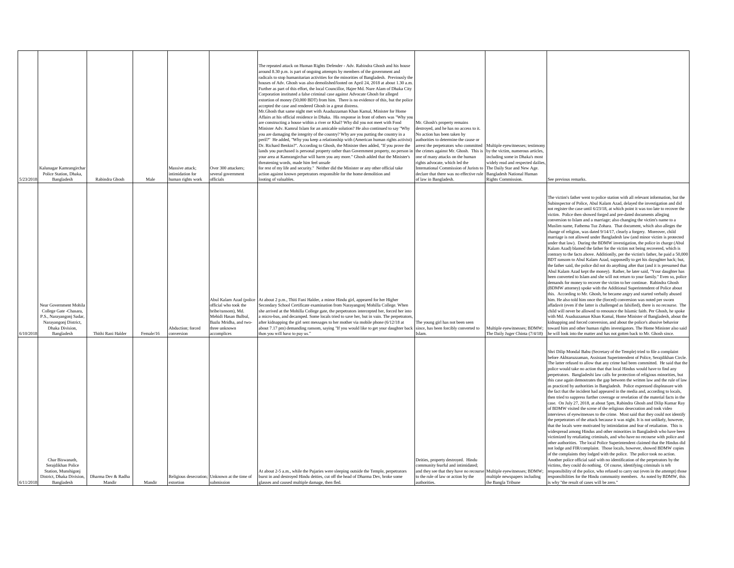|          |                                                                                                                                        |                              |           |                                      |                                                                                                                                                         | The repeated attack on Human Rights Defender - Adv. Rabindra Ghosh and his house<br>around 8.30 p.m. is part of ongoing attempts by members of the government and<br>radicals to stop humanitarian activities for the minorities of Bangladesh. Previously the<br>houses of Adv. Ghosh was also demolished/looted on April 24, 2018 at about 1.30 a.m<br>Further as part of this effort, the local Councillor, Hajee Md. Nure Alam of Dhaka City                                                                                                                                                                                                                                                                                                                                                                                                                                                                                                                                                                                                                                                                                                                                       |                                                                                                                                                                                                                                                                                                                                                |                                                                                                                                                                           |                                                                                                                                                                                                                                                                                                                                                                                                                                                                                                                                                                                                                                                                                                                                                                                                                                                                                                                                                                                                                                                                                                                                                                                                                                                                                                                                                                                                                                                                                                                                                                                                                                                                                                                                                                                                                                                                                                                                                                                                                                                  |
|----------|----------------------------------------------------------------------------------------------------------------------------------------|------------------------------|-----------|--------------------------------------|---------------------------------------------------------------------------------------------------------------------------------------------------------|----------------------------------------------------------------------------------------------------------------------------------------------------------------------------------------------------------------------------------------------------------------------------------------------------------------------------------------------------------------------------------------------------------------------------------------------------------------------------------------------------------------------------------------------------------------------------------------------------------------------------------------------------------------------------------------------------------------------------------------------------------------------------------------------------------------------------------------------------------------------------------------------------------------------------------------------------------------------------------------------------------------------------------------------------------------------------------------------------------------------------------------------------------------------------------------|------------------------------------------------------------------------------------------------------------------------------------------------------------------------------------------------------------------------------------------------------------------------------------------------------------------------------------------------|---------------------------------------------------------------------------------------------------------------------------------------------------------------------------|--------------------------------------------------------------------------------------------------------------------------------------------------------------------------------------------------------------------------------------------------------------------------------------------------------------------------------------------------------------------------------------------------------------------------------------------------------------------------------------------------------------------------------------------------------------------------------------------------------------------------------------------------------------------------------------------------------------------------------------------------------------------------------------------------------------------------------------------------------------------------------------------------------------------------------------------------------------------------------------------------------------------------------------------------------------------------------------------------------------------------------------------------------------------------------------------------------------------------------------------------------------------------------------------------------------------------------------------------------------------------------------------------------------------------------------------------------------------------------------------------------------------------------------------------------------------------------------------------------------------------------------------------------------------------------------------------------------------------------------------------------------------------------------------------------------------------------------------------------------------------------------------------------------------------------------------------------------------------------------------------------------------------------------------------|
|          | Kalunagar Kamrangircha                                                                                                                 |                              |           | Massive attack;                      | Over 300 attackers;                                                                                                                                     | Corporation instituted a false criminal case against Advocate Ghosh for alleged<br>extortion of money (50,000 BDT) from him. There is no evidence of this, but the police<br>accepted the case and rendered Ghosh in a great distress.<br>Mr.Ghosh that same night met with Asaduzzaman Khan Kamal, Minister for Home<br>Affairs at his official residence in Dhaka. His response in front of others was "Why you<br>are constructing a house within a river or Khal? Why did you not meet with Food<br>Minister Adv. Kamrul Islam for an amicable solution? He also continued to say "Why<br>you are damaging the integrity of the country? Why are you putting the country in a<br>peril?" He added, "Why you keep a relationship with (American human rights activist)<br>Dr. Richard Benkin?". According to Ghosh, the Minister then added, "If you prove the<br>lands you purchased is personal property rather than Government property, no person in<br>your area at Kamrangirchar will harm you any more." Ghosh added that the Minister's<br>hreatening words, made him feel unsafe<br>for rest of my life and security." Neither did the Minister or any other official take | Mr. Ghosh's property remains<br>destroyed, and he has no access to it.<br>No action has been taken by<br>authorities to determine the cause or<br>arrest the perpetrators who committed<br>the crimes against Mr. Ghosh. This is<br>one of many attacks on the human<br>ights advocate, which led the<br>nternational Commission of Jurists to | Multiple eyewitnesses; testimony<br>by the victim, numerous articles<br>ncluding some in Dhaka's most<br>videly read and respected dailies<br>The Daily Star and New Age. |                                                                                                                                                                                                                                                                                                                                                                                                                                                                                                                                                                                                                                                                                                                                                                                                                                                                                                                                                                                                                                                                                                                                                                                                                                                                                                                                                                                                                                                                                                                                                                                                                                                                                                                                                                                                                                                                                                                                                                                                                                                  |
| 5/23/201 | Police Station, Dhaka,<br>Bangladesh                                                                                                   | Rabindra Ghosh               | Male      | intimidation for<br>uman rights work | several government<br>officials                                                                                                                         | action against known perpetrators responsible for the home demolition and<br>looting of valuables.                                                                                                                                                                                                                                                                                                                                                                                                                                                                                                                                                                                                                                                                                                                                                                                                                                                                                                                                                                                                                                                                                     | declare that there was no effective rule<br>of law in Bangladesh.                                                                                                                                                                                                                                                                              | <b>Bangladesh National Human</b><br><b>Rights Commission.</b>                                                                                                             | See previous remarks                                                                                                                                                                                                                                                                                                                                                                                                                                                                                                                                                                                                                                                                                                                                                                                                                                                                                                                                                                                                                                                                                                                                                                                                                                                                                                                                                                                                                                                                                                                                                                                                                                                                                                                                                                                                                                                                                                                                                                                                                             |
| 5/10/201 | Near Government Mohila<br>College Gate -Chasara,<br>P.S., Narayangonj Sadar,<br>Narayangonj District,<br>Dhaka Division,<br>Bangladesh | Thithi Rani Halder           | Female/16 | Abduction; forced<br>onversion       | Abul Kalam Azad (police<br>official who took the<br>bribe/ransom), Md.<br>Mehidi Hasan Bulbul.<br>Bazlu Mridha, and two-<br>three unknown<br>ccomplices | At about 2 p.m., Thiti Fani Halder, a minor Hindu girl, appeared for her Higher<br>Secondary School Certificate examination from Narayangonj Mohilla College. When<br>she arrived at the Mohilla College gate, the perpetrators intercepted her, forced her into<br>a micro-bus, and decamped. Some locals tried to save her, but in vain. The perpetrators<br>after kidnapping the girl sent messages to her mother via mobile phone (6/12/18 at<br>about 7.17 pm) demanding ransom, saying "If you would like to get your daughter back<br>hen you will have to pay us."                                                                                                                                                                                                                                                                                                                                                                                                                                                                                                                                                                                                             | The young girl has not been seen<br>since, has been forcibly converted to<br>slam                                                                                                                                                                                                                                                              | Aultiple eyewitnesses; BDMW<br>The Daily Juger Chinta (7/4/18)                                                                                                            | The victim's father went to police station with all relevant information, but the<br>Subinspector of Police, Abul Kalam Azad, delayed the investigation and did<br>not register the case until 6/23/18, at which point it was too late to recover the<br>victim. Police then showed forged and pre-dated documents alleging<br>conversion to Islam and a marriage; also changing the victim's name to a<br>Muslim name, Fathema Tuz Zohara. That document, which also alleges the<br>change of religion, was dated 9/14/17, clearly a forgery. Moreover, child<br>marriage is not allowed under Bangladesh law (and minor victim is protected<br>under that law). During the BDMW investigation, the police in charge (Abul<br>Kalam Azad) blamed the father for the victim not being recovered, which is<br>contrary to the facts above. Additionlly, per the victim's father, he paid a 50,000<br>BDT ransom to Abul Kalam Azad, supposedly to get his dayughter back; but,<br>the father said, the police did not do anything after that (and it is presumed that<br>Abul Kalam Azad kept the money). Rather, he later said, "Your daughter has<br>been converted to Islam and she will not return to your family." Even so, police<br>demands for money to recover the victim to her continue. Rabindra Ghosh<br>(BDMW attorney) spoke with the Additional Superintendent of Police about<br>this. According to Mr. Ghosh, he became angry and started verbally abused<br>him. He also told him once the (forced) conversion was noted per sworn<br>affadavit (even if the latter is challenged as falsified), there is no recourse. The<br>child will never be allowed to renounce the Islamic faith. Per Ghosh, he spoke<br>with Md. Asaduzzaman Khan Kamal, Home Minister of Bangladesh, about the<br>kidnapping and forced conversion, and about the police's abusive behavior<br>oward him and other human rights investigators. The Home Minister also said<br>e will look into the matter and has not gotten back to Mr. Ghosh since. |
| 6/11/201 | Char Biswanath.<br>Serajdikhan Police<br>Station, Munshigonj<br>District, Dhaka Division,<br>Bangladesh                                | Dharma Dev & Radha<br>Mandir | Mandir    | extortion                            | Religious desecration; Unknown at the time of<br>submission                                                                                             | At about 2-5 a.m., while the Pujaries were sleeping outside the Temple, perpetrators<br>burst in and destroyed Hindu deities, cut off the head of Dharma Dev, broke some<br>glasses and caused multiple damage, then fled.                                                                                                                                                                                                                                                                                                                                                                                                                                                                                                                                                                                                                                                                                                                                                                                                                                                                                                                                                             | Deities, property destroyed. Hindu<br>ommunity fearful and intimidated;<br>and they see that they have no recourse Multiple eyewitnesses; BDMW<br>to the rule of law or action by the<br>authorities.                                                                                                                                          | multiple newspapers including<br>the Bangla Tribune                                                                                                                       | Shri Dilip Mondal Babu (Secretary of the Temple) tried to file a complaint<br>before Akhtaruzzaman, Assistant Superintendent of Police, Serajdikhan Circle.<br>The latter refused to allow that any crime had been committed. He said that the<br>police would take no action that that local Hindus would have to find any<br>perpetrators. Bangladeshi law calls for protection of religious minorities, but<br>this case again demostrates the gap between the written law and the rule of law<br>as practiced by authorities in Bangladesh. Police expressed displeasure with<br>the fact that the incident had appeared in the media and, according to locals,<br>then tried to suppress further coverage or revelation of the material facts in the<br>case. On July 27, 2018, at about 5pm, Rabindra Ghosh and Dilip Kumar Ray<br>of BDMW visited the scene of the religious desecration and took video<br>interviews of eyewitnesses to the crime. Most said that they could not identify<br>the perpetrators of the attack because it was night. It is not unlikely, however,<br>that the locals were motivated by intimidation and fear of retaliation. This is<br>widespread among Hindus and other minorities in Bangladesh who have been<br>victimized by retaliating criminals, and who have no recourse with police and<br>other authorities. The local Police Superintendent claimed that the Hindus did<br>not lodge and FIR/complaint. Those locals, however, showed BDMW copies<br>of the complaints they lodged with the police. The police took no action.<br>Another police official said with no identification of the perpetrators by the<br>victims, they could do nothing. Of course, identifying criminals is teh<br>responsibility of the police, who refused to carry out (even in the attempt) those<br>responsibilities for the Hindu community members. As noted by BDMW, this<br>s why "the result of cases will be zero."                                                                                      |